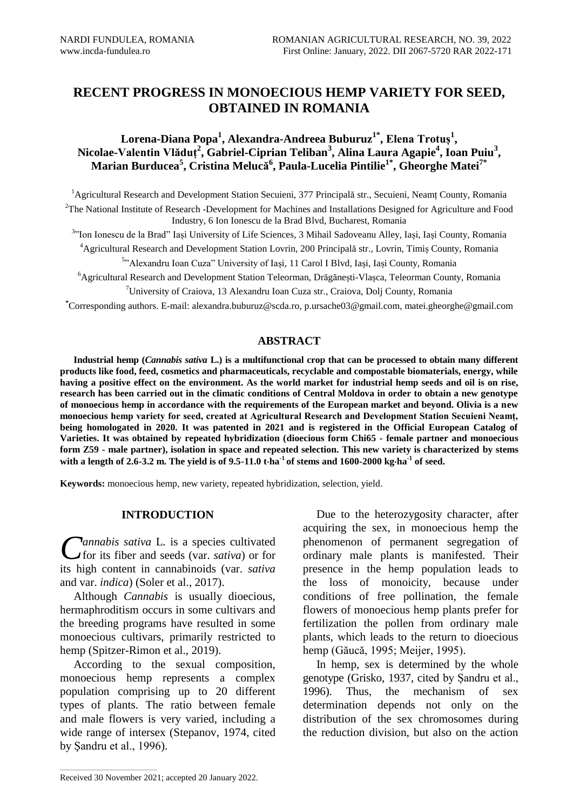# **RECENT PROGRESS IN MONOECIOUS HEMP VARIETY FOR SEED, OBTAINED IN ROMANIA**

## **Lorena-Diana Popa<sup>1</sup> , Alexandra-Andreea Buburuz1\* , Elena Trotuș<sup>1</sup> , Nicolae-Valentin Vlăduț<sup>2</sup> , Gabriel-Ciprian Teliban<sup>3</sup> , Alina Laura Agapie<sup>4</sup> , Ioan Puiu<sup>3</sup> , Marian Burducea<sup>5</sup> , Cristina Melucă 6 , Paula-Lucelia Pintilie1\*, Gheorghe Matei7\***

<sup>1</sup> Agricultural Research and Development Station Secuieni, 377 Principală str., Secuieni, Neamț County, Romania <sup>2</sup>The National Institute of Research -Development for Machines and Installations Designed for Agriculture and Food Industry, 6 Ion Ionescu de la Brad Blvd, Bucharest, Romania

<sup>3,</sup> Ion Ionescu de la Brad" Iași University of Life Sciences, 3 Mihail Sadoveanu Alley, Iași, Iași County, Romania <sup>4</sup>Agricultural Research and Development Station Lovrin, 200 Principală str., Lovrin, Timiș County, Romania

5 "Alexandru Ioan Cuza" University of Iași, 11 Carol I Blvd, Iași, Iași County, Romania

<sup>6</sup>Agricultural Research and Development Station Teleorman, Drăgănești-Vlașca, Teleorman County, Romania

<sup>7</sup>University of Craiova, 13 Alexandru Ioan Cuza str., Craiova, Dolj County, Romania

**\***Corresponding authors. E-mail: alexandra.buburuz@scda.ro, p.ursache03@gmail.com, matei.gheorghe@gmail.com

## **ABSTRACT**

**Industrial hemp (***Cannabis sativa* **L.) is a multifunctional crop that can be processed to obtain many different products like food, feed, cosmetics and pharmaceuticals, recyclable and compostable biomaterials, energy, while having a positive effect on the environment. As the world market for industrial hemp seeds and oil is on rise, research has been carried out in the climatic conditions of Central Moldova in order to obtain a new genotype of monoecious hemp in accordance with the requirements of the European market and beyond. Olivia is a new monoecious hemp variety for seed, created at Agricultural Research and Development Station Secuieni Neamț, being homologated in 2020. It was patented in 2021 and is registered in the Official European Catalog of Varieties. It was obtained by repeated hybridization (dioecious form Chi65 - female partner and monoecious form Z59 - male partner), isolation in space and repeated selection. This new variety is characterized by stems with a length of 2.6-3.2 m. The yield is of 9.5-11.0 tha-1 of stems and 1600-2000 kgha-1 of seed.**

**Keywords:** monoecious hemp, new variety, repeated hybridization, selection, yield.

## **INTRODUCTION**

*annabis sativa* L. is a species cultivated Cannabis sativa L. is a species cultivated<br>for its fiber and seeds (var. *sativa*) or for its high content in cannabinoids (var. *sativa* and var. *indica*) (Soler et al., 2017).

Although *Cannabis* is usually dioecious, hermaphroditism occurs in some cultivars and the breeding programs have resulted in some monoecious cultivars, primarily restricted to hemp (Spitzer-Rimon et al., 2019).

According to the sexual composition, monoecious hemp represents a complex population comprising up to 20 different types of plants. The ratio between female and male flowers is very varied, including a wide range of intersex (Stepanov, 1974, cited by Şandru et al., 1996).

Due to the heterozygosity character, after acquiring the sex, in monoecious hemp the phenomenon of permanent segregation of ordinary male plants is manifested. Their presence in the hemp population leads to the loss of monoicity, because under conditions of free pollination, the female flowers of monoecious hemp plants prefer for fertilization the pollen from ordinary male plants, which leads to the return to dioecious hemp (Găucă, 1995; Meijer, 1995).

In hemp, sex is determined by the whole genotype (Grisko, 1937, cited by Șandru et al., 1996). Thus, the mechanism of sex determination depends not only on the distribution of the sex chromosomes during the reduction division, but also on the action

 $\mathcal{L}_\text{max}$  and  $\mathcal{L}_\text{max}$  and  $\mathcal{L}_\text{max}$  and  $\mathcal{L}_\text{max}$ 

Received 30 November 2021; accepted 20 January 2022.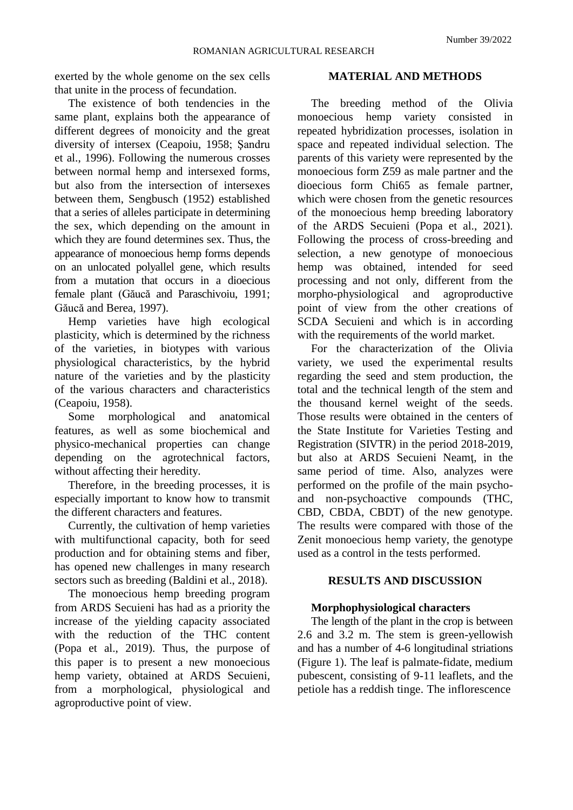exerted by the whole genome on the sex cells that unite in the process of fecundation.

The existence of both tendencies in the same plant, explains both the appearance of different degrees of monoicity and the great diversity of intersex (Ceapoiu, 1958; Şandru et al., 1996). Following the numerous crosses between normal hemp and intersexed forms, but also from the intersection of intersexes between them, Sengbusch (1952) established that a series of alleles participate in determining the sex, which depending on the amount in which they are found determines sex. Thus, the appearance of monoecious hemp forms depends on an unlocated polyallel gene, which results from a mutation that occurs in a dioecious female plant (Găucă and Paraschivoiu, 1991; Găucă and Berea, 1997).

Hemp varieties have high ecological plasticity, which is determined by the richness of the varieties, in biotypes with various physiological characteristics, by the hybrid nature of the varieties and by the plasticity of the various characters and characteristics (Ceapoiu, 1958).

Some morphological and anatomical features, as well as some biochemical and physico-mechanical properties can change depending on the agrotechnical factors, without affecting their heredity.

Therefore, in the breeding processes, it is especially important to know how to transmit the different characters and features.

Currently, the cultivation of hemp varieties with multifunctional capacity, both for seed production and for obtaining stems and fiber, has opened new challenges in many research sectors such as breeding (Baldini et al., 2018).

The monoecious hemp breeding program from ARDS Secuieni has had as a priority the increase of the yielding capacity associated with the reduction of the THC content (Popa et al., 2019). Thus, the purpose of this paper is to present a new monoecious hemp variety, obtained at ARDS Secuieni, from a morphological, physiological and agroproductive point of view.

## **MATERIAL AND METHODS**

The breeding method of the Olivia monoecious hemp variety consisted in repeated hybridization processes, isolation in space and repeated individual selection. The parents of this variety were represented by the monoecious form Z59 as male partner and the dioecious form Chi65 as female partner, which were chosen from the genetic resources of the monoecious hemp breeding laboratory of the ARDS Secuieni (Popa et al., 2021). Following the process of cross-breeding and selection, a new genotype of monoecious hemp was obtained, intended for seed processing and not only, different from the morpho-physiological and agroproductive point of view from the other creations of SCDA Secuieni and which is in according with the requirements of the world market.

For the characterization of the Olivia variety, we used the experimental results regarding the seed and stem production, the total and the technical length of the stem and the thousand kernel weight of the seeds. Those results were obtained in the centers of the State Institute for Varieties Testing and Registration (SIVTR) in the period 2018-2019, but also at ARDS Secuieni Neamt, in the same period of time. Also, analyzes were performed on the profile of the main psychoand non-psychoactive compounds (THC, CBD, CBDA, CBDT) of the new genotype. The results were compared with those of the Zenit monoecious hemp variety, the genotype used as a control in the tests performed.

## **RESULTS AND DISCUSSION**

## **Morphophysiological characters**

The length of the plant in the crop is between 2.6 and 3.2 m. The stem is green-yellowish and has a number of 4-6 longitudinal striations (Figure 1). The leaf is palmate-fidate, medium pubescent, consisting of 9-11 leaflets, and the petiole has a reddish tinge. The inflorescence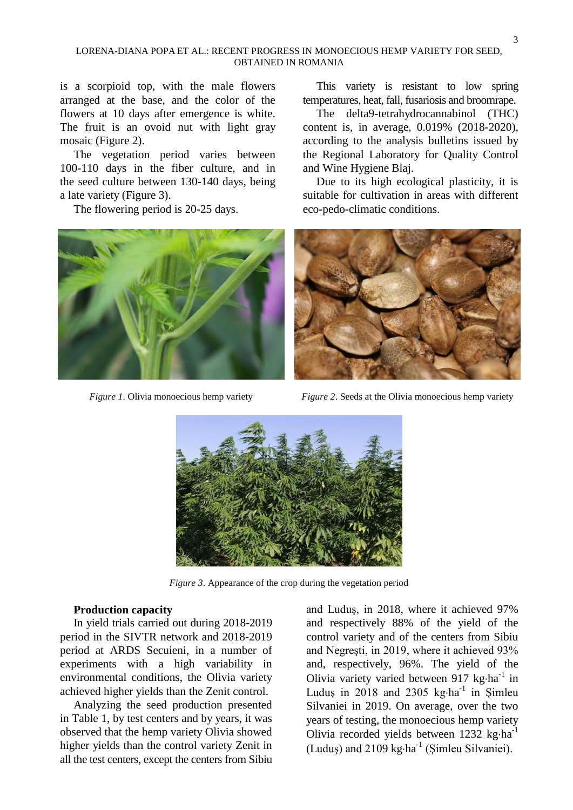#### LORENA-DIANA POPA ET AL.: RECENT PROGRESS IN MONOECIOUS HEMP VARIETY FOR SEED, OBTAINED IN ROMANIA

is a scorpioid top, with the male flowers arranged at the base, and the color of the flowers at 10 days after emergence is white. The fruit is an ovoid nut with light gray mosaic (Figure 2).

The vegetation period varies between 100-110 days in the fiber culture, and in the seed culture between 130-140 days, being a late variety (Figure 3).

The flowering period is 20-25 days.



This variety is resistant to low spring temperatures, heat, fall, fusariosis and broomrape.

The delta9-tetrahydrocannabinol (THC) content is, in average, 0.019% (2018-2020), according to the analysis bulletins issued by the Regional Laboratory for Quality Control and Wine Hygiene Blaj.

Due to its high ecological plasticity, it is suitable for cultivation in areas with different eco-pedo-climatic conditions.



*Figure 1*. Olivia monoecious hemp variety *Figure 2*. Seeds at the Olivia monoecious hemp variety



*Figure 3*. Appearance of the crop during the vegetation period

#### **Production capacity**

In yield trials carried out during 2018-2019 period in the SIVTR network and 2018-2019 period at ARDS Secuieni, in a number of experiments with a high variability in environmental conditions, the Olivia variety achieved higher yields than the Zenit control.

Analyzing the seed production presented in Table 1, by test centers and by years, it was observed that the hemp variety Olivia showed higher yields than the control variety Zenit in all the test centers, except the centers from Sibiu and Luduş, in 2018, where it achieved 97% and respectively 88% of the yield of the control variety and of the centers from Sibiu and Negreşti, in 2019, where it achieved 93% and, respectively, 96%. The yield of the Olivia variety varied between 917 kg·ha<sup>-1</sup> in Luduş in 2018 and 2305  $kg \cdot ha^{-1}$  in Şimleu Silvaniei in 2019. On average, over the two years of testing, the monoecious hemp variety Olivia recorded yields between  $1232 \text{ kg} \cdot \text{ha}^{-1}$ (Luduş) and  $2109 \text{ kg} \cdot \text{ha}^{-1}$  (Şimleu Silvaniei).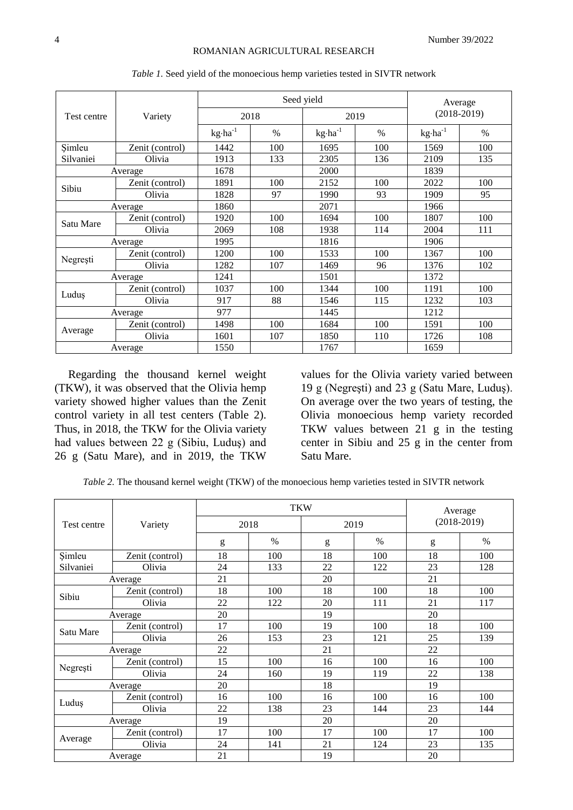|             |                 |                    |      | Seed yield         |      | Average            |               |  |
|-------------|-----------------|--------------------|------|--------------------|------|--------------------|---------------|--|
| Test centre | Variety         |                    | 2018 |                    | 2019 |                    | $(2018-2019)$ |  |
|             |                 | $kg \cdot ha^{-1}$ | $\%$ | $kg \cdot ha^{-1}$ | $\%$ | $kg \cdot ha^{-1}$ | $\frac{0}{0}$ |  |
| Simleu      | Zenit (control) | 1442               | 100  | 1695               | 100  | 1569               | 100           |  |
| Silvaniei   | Olivia          | 1913               | 133  | 2305               | 136  | 2109               | 135           |  |
|             | Average         | 1678               |      | 2000               |      | 1839               |               |  |
|             | Zenit (control) | 1891               | 100  | 2152               | 100  | 2022               | 100           |  |
| Sibiu       | Olivia          | 1828               | 97   | 1990               | 93   | 1909               | 95            |  |
| Average     |                 | 1860               |      | 2071               |      | 1966               |               |  |
|             | Zenit (control) | 1920               | 100  | 1694               | 100  | 1807               | 100           |  |
| Satu Mare   | Olivia          | 2069               | 108  | 1938               | 114  | 2004               | 111           |  |
|             | Average         | 1995               |      | 1816               |      | 1906               |               |  |
|             | Zenit (control) | 1200               | 100  | 1533               | 100  | 1367               | 100           |  |
| Negrești    | Olivia          | 1282               | 107  | 1469               | 96   | 1376               | 102           |  |
|             | Average         | 1241               |      | 1501               |      | 1372               |               |  |
|             | Zenit (control) | 1037               | 100  | 1344               | 100  | 1191               | 100           |  |
| Ludus       | Olivia          | 917                | 88   | 1546               | 115  | 1232               | 103           |  |
| Average     |                 | 977                |      | 1445               |      | 1212               |               |  |
|             | Zenit (control) | 1498               | 100  | 1684               | 100  | 1591               | 100           |  |
| Average     | Olivia          | 1601               | 107  | 1850               | 110  | 1726               | 108           |  |
|             | Average         | 1550               |      | 1767               |      | 1659               |               |  |

*Table 1.* Seed yield of the monoecious hemp varieties tested in SIVTR network

Regarding the thousand kernel weight (TKW), it was observed that the Olivia hemp variety showed higher values than the Zenit control variety in all test centers (Table 2). Thus, in 2018, the TKW for the Olivia variety had values between 22 g (Sibiu, Luduş) and 26 g (Satu Mare), and in 2019, the TKW

values for the Olivia variety varied between 19 g (Negreşti) and 23 g (Satu Mare, Luduş). On average over the two years of testing, the Olivia monoecious hemp variety recorded TKW values between 21 g in the testing center in Sibiu and 25 g in the center from Satu Mare.

*Table 2.* The thousand kernel weight (TKW) of the monoecious hemp varieties tested in SIVTR network

|             |                 |      | <b>TKW</b> |      |               | Average       |                                                                                          |
|-------------|-----------------|------|------------|------|---------------|---------------|------------------------------------------------------------------------------------------|
| Test centre | Variety         | 2018 |            | 2019 |               | $(2018-2019)$ |                                                                                          |
|             |                 | g    | $\%$       | g    | $\frac{0}{0}$ | g             | $\%$<br>100<br>128<br>100<br>117<br>100<br>139<br>100<br>138<br>100<br>144<br>100<br>135 |
| Simleu      | Zenit (control) | 18   | 100        | 18   | 100           | 18            |                                                                                          |
| Silvaniei   | Olivia          | 24   | 133        | 22   | 122           | 23            |                                                                                          |
|             | Average         | 21   |            | 20   |               | 21            |                                                                                          |
| Sibiu       | Zenit (control) | 18   | 100        | 18   | 100           | 18            |                                                                                          |
|             | Olivia          | 22   | 122        | 20   | 111           | 21            |                                                                                          |
| Average     |                 | 20   |            | 19   |               | 20            |                                                                                          |
| Satu Mare   | Zenit (control) | 17   | 100        | 19   | 100           | 18            |                                                                                          |
|             | Olivia          | 26   | 153        | 23   | 121           | 25            |                                                                                          |
|             | Average         | 22   |            | 21   |               | 22            |                                                                                          |
|             | Zenit (control) | 15   | 100        | 16   | 100           | 16            |                                                                                          |
| Negrești    | Olivia          | 24   | 160        | 19   | 119           | 22            |                                                                                          |
|             | Average         | 20   |            | 18   |               | 19            |                                                                                          |
| Luduş       | Zenit (control) | 16   | 100        | 16   | 100           | 16            |                                                                                          |
|             | Olivia          | 22   | 138        | 23   | 144           | 23            |                                                                                          |
| Average     |                 | 19   |            | 20   |               | 20            |                                                                                          |
|             | Zenit (control) | 17   | 100        | 17   | 100           | 17            |                                                                                          |
| Average     | Olivia          | 24   | 141        | 21   | 124           | 23            |                                                                                          |
|             | Average         | 21   |            | 19   |               | 20            |                                                                                          |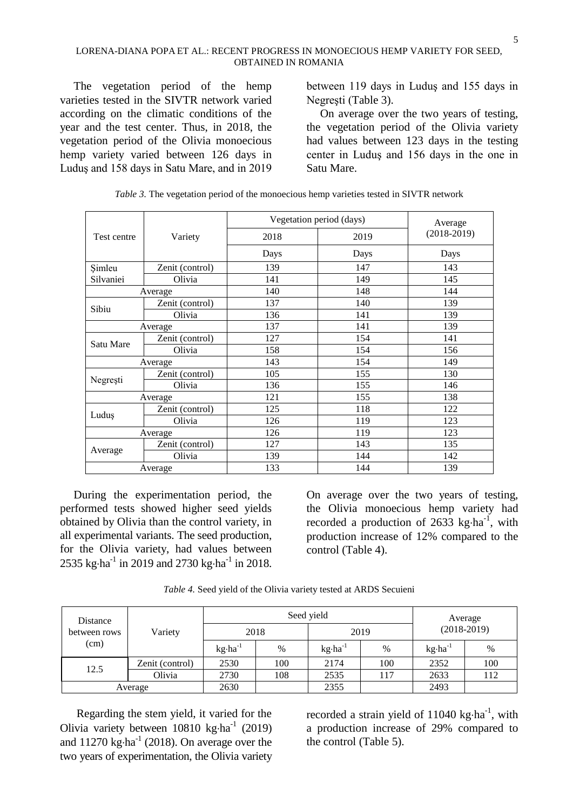The vegetation period of the hemp varieties tested in the SIVTR network varied according on the climatic conditions of the year and the test center. Thus, in 2018, the vegetation period of the Olivia monoecious hemp variety varied between 126 days in Luduş and 158 days in Satu Mare, and in 2019 between 119 days in Luduş and 155 days in Negreşti (Table 3).

On average over the two years of testing, the vegetation period of the Olivia variety had values between 123 days in the testing center in Luduş and 156 days in the one in Satu Mare.

|             |                 |      | Vegetation period (days) | Average       |
|-------------|-----------------|------|--------------------------|---------------|
| Test centre | Variety         | 2018 | 2019                     | $(2018-2019)$ |
|             |                 | Days | Days                     | Days          |
| Simleu      | Zenit (control) | 139  | 147                      | 143           |
| Silvaniei   | Olivia          | 141  | 149                      | 145           |
|             | Average         | 140  | 148                      | 144           |
|             | Zenit (control) | 137  | 140                      | 139           |
| Sibiu       | Olivia          | 136  | 141                      | 139           |
| Average     |                 | 137  | 141                      | 139           |
|             | Zenit (control) | 127  | 154                      | 141           |
| Satu Mare   | Olivia          | 158  | 154                      | 156           |
|             | Average         | 143  | 154                      | 149           |
|             | Zenit (control) | 105  | 155                      | 130           |
| Negrești    | Olivia          | 136  | 155                      | 146           |
|             | Average         | 121  | 155                      | 138           |
|             | Zenit (control) | 125  | 118                      | 122           |
| Luduş       | Olivia          | 126  | 119                      | 123           |
| Average     |                 | 126  | 119                      | 123           |
|             | Zenit (control) | 127  | 143                      | 135           |
| Average     | Olivia          | 139  | 144                      | 142           |
|             | Average         | 133  | 144                      | 139           |

*Table 3.* The vegetation period of the monoecious hemp varieties tested in SIVTR network

During the experimentation period, the performed tests showed higher seed yields obtained by Olivia than the control variety, in all experimental variants. The seed production, for the Olivia variety, had values between 2535 kg·ha<sup>-1</sup> in 2019 and 2730 kg·ha<sup>-1</sup> in 2018.

On average over the two years of testing, the Olivia monoecious hemp variety had recorded a production of 2633 kg $\cdot$ ha<sup>-1</sup>, with production increase of 12% compared to the control (Table 4).

*Table 4.* Seed yield of the Olivia variety tested at ARDS Secuieni

| Distance<br>between rows<br>(cm) |                 |                    | Seed yield | Average<br>$(2018-2019)$ |      |                    |      |
|----------------------------------|-----------------|--------------------|------------|--------------------------|------|--------------------|------|
|                                  | Variety         | 2018               |            |                          |      | 2019               |      |
|                                  |                 | $kg \cdot ha^{-1}$ | $\%$       | $kg \cdot ha^{-1}$       | $\%$ | $kg \cdot ha^{-1}$ | $\%$ |
| 12.5                             | Zenit (control) | 2530               | 100        | 2174                     | 100  | 2352               | 100  |
|                                  | Olivia          | 2730               | 108        | 2535                     | 117  | 2633               | 112  |
| Average                          |                 | 2630               |            | 2355                     |      | 2493               |      |

Regarding the stem yield, it varied for the Olivia variety between  $10810 \text{ kg} \cdot \text{ha}^{-1}$  (2019) and  $11270 \text{ kg} \cdot \text{ha}^{-1}$  (2018). On average over the two years of experimentation, the Olivia variety

recorded a strain yield of  $11040 \text{ kg} \cdot \text{ha}^{-1}$ , with a production increase of 29% compared to the control (Table 5).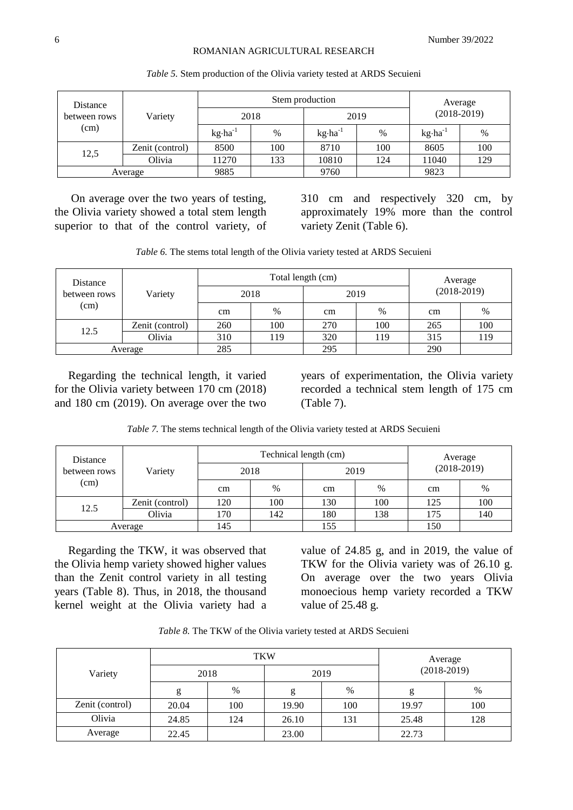#### ROMANIAN AGRICULTURAL RESEARCH

| Distance<br>between rows<br>(cm) |                 |                    | Stem production | Average            |      |                    |               |  |
|----------------------------------|-----------------|--------------------|-----------------|--------------------|------|--------------------|---------------|--|
|                                  | Variety         |                    | 2018            | 2019               |      |                    | $(2018-2019)$ |  |
|                                  |                 | $kg \cdot ha^{-1}$ | $\%$            | $kg \cdot ha^{-1}$ | $\%$ | $kg \cdot ha^{-1}$ | $\%$          |  |
| 12,5                             | Zenit (control) | 8500               | 100             | 8710               | 100  | 8605               | 100           |  |
|                                  | Olivia          | 11270              | 133             | 10810              | 124  | 11040              | 129           |  |
| Average                          |                 | 9885               |                 | 9760               |      | 9823               |               |  |

#### *Table 5.* Stem production of the Olivia variety tested at ARDS Secuieni

On average over the two years of testing, the Olivia variety showed a total stem length superior to that of the control variety, of 310 cm and respectively 320 cm, by approximately 19% more than the control variety Zenit (Table 6).

*Table 6.* The stems total length of the Olivia variety tested at ARDS Secuieni

| Distance<br>between rows<br>(cm) |                 |      | Total length (cm) | Average |      |     |               |  |
|----------------------------------|-----------------|------|-------------------|---------|------|-----|---------------|--|
|                                  | Variety         | 2018 |                   | 2019    |      |     | $(2018-2019)$ |  |
|                                  |                 | cm   | $\%$              | cm      | $\%$ | cm  | $\%$          |  |
|                                  | Zenit (control) | 260  | 100               | 270     | 100  | 265 | 100           |  |
| 12.5                             | Olivia          | 310  | 119               | 320     | 119  | 315 | 119           |  |
| Average                          |                 | 285  |                   | 295     |      | 290 |               |  |

Regarding the technical length, it varied for the Olivia variety between 170 cm (2018) and 180 cm (2019). On average over the two

years of experimentation, the Olivia variety recorded a technical stem length of 175 cm (Table 7).

*Table 7.* The stems technical length of the Olivia variety tested at ARDS Secuieni

| Distance<br>between rows<br>(cm) |                 |     | Technical length (cm) | Average |      |               |      |
|----------------------------------|-----------------|-----|-----------------------|---------|------|---------------|------|
|                                  | Variety         |     | 2018                  | 2019    |      | $(2018-2019)$ |      |
|                                  |                 | cm  | $\%$                  | cm      | $\%$ | cm            | $\%$ |
|                                  | Zenit (control) | 120 | 100                   | 130     | 100  | 125           | 100  |
| 12.5                             | Olivia          | 170 | 142                   | 180     | 138  | 175           | 140  |
| Average                          |                 | 145 |                       | 155     |      | 150           |      |

Regarding the TKW, it was observed that the Olivia hemp variety showed higher values than the Zenit control variety in all testing years (Table 8). Thus, in 2018, the thousand kernel weight at the Olivia variety had a

value of 24.85 g, and in 2019, the value of TKW for the Olivia variety was of 26.10 g. On average over the two years Olivia monoecious hemp variety recorded a TKW value of 25.48 g.

|  |  |  |  | <i>Table 8.</i> The TKW of the Olivia variety tested at ARDS Secuieni |
|--|--|--|--|-----------------------------------------------------------------------|
|  |  |  |  |                                                                       |

|                 |       | <b>TKW</b> | Average |      |               |      |  |
|-----------------|-------|------------|---------|------|---------------|------|--|
| Variety         |       | 2018       |         | 2019 | $(2018-2019)$ |      |  |
|                 | g     | $\%$       | g       | $\%$ | g             | $\%$ |  |
| Zenit (control) | 20.04 | 100        | 19.90   | 100  | 19.97         | 100  |  |
| Olivia          | 24.85 | 124        | 26.10   | 131  | 25.48         | 128  |  |
| Average         | 22.45 |            | 23.00   |      | 22.73         |      |  |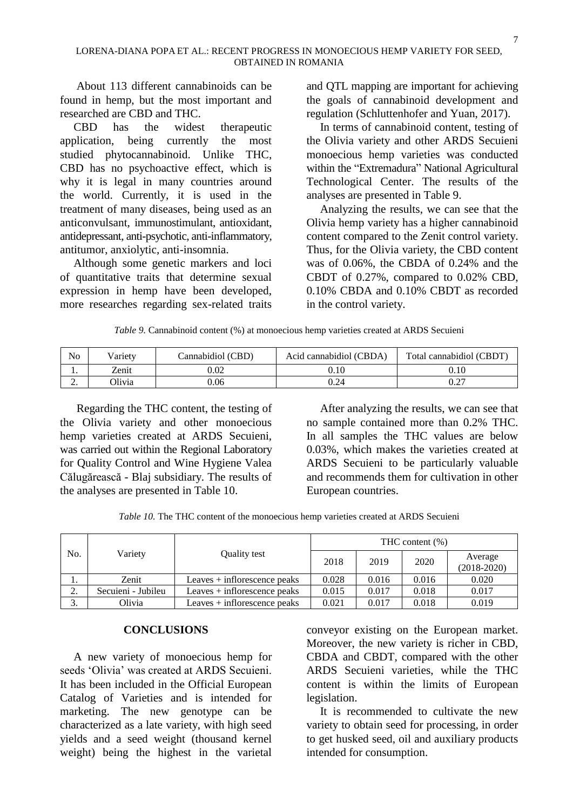About 113 different cannabinoids can be found in hemp, but the most important and researched are CBD and THC.

CBD has the widest therapeutic application, being currently the most studied phytocannabinoid. Unlike THC, CBD has no psychoactive effect, which is why it is legal in many countries around the world. Currently, it is used in the treatment of many diseases, being used as an anticonvulsant, immunostimulant, antioxidant, antidepressant, anti-psychotic, anti-inflammatory, antitumor, anxiolytic, anti-insomnia.

Although some genetic markers and loci of quantitative traits that determine sexual expression in hemp have been developed, more researches regarding sex-related traits and QTL mapping are important for achieving the goals of cannabinoid development and regulation (Schluttenhofer and Yuan, 2017).

In terms of cannabinoid content, testing of the Olivia variety and other ARDS Secuieni monoecious hemp varieties was conducted within the "Extremadura" National Agricultural Technological Center. The results of the analyses are presented in Table 9.

Analyzing the results, we can see that the Olivia hemp variety has a higher cannabinoid content compared to the Zenit control variety. Thus, for the Olivia variety, the CBD content was of 0.06%, the CBDA of 0.24% and the CBDT of 0.27%, compared to 0.02% CBD, 0.10% CBDA and 0.10% CBDT as recorded in the control variety.

*Table 9.* Cannabinoid content (%) at monoecious hemp varieties created at ARDS Secuieni

| No       | Varietv       | Cannabidiol (CBD) | Acid cannabidiol (CBDA) | Total cannabidiol (CBDT) |
|----------|---------------|-------------------|-------------------------|--------------------------|
| . .      | Zenit         | $0.02\,$          |                         | ).10                     |
| <u>.</u> | <b>Olivia</b> | 0.06              | 0.24                    | $\sim$<br>U.Z.           |

Regarding the THC content, the testing of the Olivia variety and other monoecious hemp varieties created at ARDS Secuieni, was carried out within the Regional Laboratory for Quality Control and Wine Hygiene Valea Călugărească - Blaj subsidiary. The results of the analyses are presented in Table 10.

After analyzing the results, we can see that no sample contained more than 0.2% THC. In all samples the THC values are below 0.03%, which makes the varieties created at ARDS Secuieni to be particularly valuable and recommends them for cultivation in other European countries.

*Table 10.* The THC content of the monoecious hemp varieties created at ARDS Secuieni

|               |                    |                                | THC content $(\%)$ |       |       |                          |
|---------------|--------------------|--------------------------------|--------------------|-------|-------|--------------------------|
| No.           | Variety            | Quality test                   | 2018               | 2019  | 2020  | Average<br>$(2018-2020)$ |
| . .           | Zenit              | Leaves $+$ inflorescence peaks | 0.028              | 0.016 | 0.016 | 0.020                    |
| ◠<br><u>.</u> | Secuieni - Jubileu | Leaves $+$ inflorescence peaks | 0.015              | 0.017 | 0.018 | 0.017                    |
| 3.            | Olivia             | Leaves $+$ inflorescence peaks | 0.021              | 0.017 | 0.018 | 0.019                    |

### **CONCLUSIONS**

A new variety of monoecious hemp for seeds 'Olivia' was created at ARDS Secuieni. It has been included in the Official European Catalog of Varieties and is intended for marketing. The new genotype can be characterized as a late variety, with high seed yields and a seed weight (thousand kernel weight) being the highest in the varietal

conveyor existing on the European market. Moreover, the new variety is richer in CBD, CBDA and CBDT, compared with the other ARDS Secuieni varieties, while the THC content is within the limits of European legislation.

It is recommended to cultivate the new variety to obtain seed for processing, in order to get husked seed, oil and auxiliary products intended for consumption.